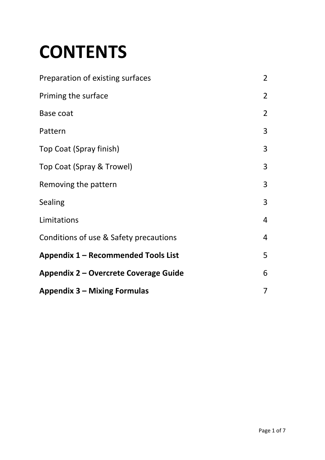# **CONTENTS**

| Preparation of existing surfaces       | $\overline{2}$ |
|----------------------------------------|----------------|
| Priming the surface                    | $\overline{2}$ |
| Base coat                              | $\overline{2}$ |
| Pattern                                | 3              |
| Top Coat (Spray finish)                | $\overline{3}$ |
| Top Coat (Spray & Trowel)              | 3              |
| Removing the pattern                   | 3              |
| <b>Sealing</b>                         | 3              |
| Limitations                            | 4              |
| Conditions of use & Safety precautions | 4              |
| Appendix 1 – Recommended Tools List    | 5              |
| Appendix 2 – Overcrete Coverage Guide  | 6              |
| <b>Appendix 3 – Mixing Formulas</b>    | $\overline{7}$ |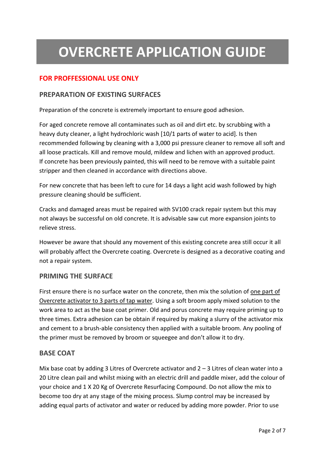# **OVERCRETE APPLICATION GUIDE**

#### **FOR PROFFESSIONAL USE ONLY**

#### **PREPARATION OF EXISTING SURFACES**

Preparation of the concrete is extremely important to ensure good adhesion.

For aged concrete remove all contaminates such as oil and dirt etc. by scrubbing with a heavy duty cleaner, a light hydrochloric wash [10/1 parts of water to acid]. Is then recommended following by cleaning with a 3,000 psi pressure cleaner to remove all soft and all loose practicals. Kill and remove mould, mildew and lichen with an approved product. If concrete has been previously painted, this will need to be remove with a suitable paint stripper and then cleaned in accordance with directions above.

For new concrete that has been left to cure for 14 days a light acid wash followed by high pressure cleaning should be sufficient.

Cracks and damaged areas must be repaired with SV100 crack repair system but this may not always be successful on old concrete. It is advisable saw cut more expansion joints to relieve stress.

However be aware that should any movement of this existing concrete area still occur it all will probably affect the Overcrete coating. Overcrete is designed as a decorative coating and not a repair system.

#### **PRIMING THE SURFACE**

First ensure there is no surface water on the concrete, then mix the solution of one part of Overcrete activator to 3 parts of tap water. Using a soft broom apply mixed solution to the work area to act as the base coat primer. Old and porus concrete may require priming up to three times. Extra adhesion can be obtain if required by making a slurry of the activator mix and cement to a brush-able consistency then applied with a suitable broom. Any pooling of the primer must be removed by broom or squeegee and don't allow it to dry.

#### **BASE COAT**

Mix base coat by adding 3 Litres of Overcrete activator and 2 – 3 Litres of clean water into a 20 Litre clean pail and whilst mixing with an electric drill and paddle mixer, add the colour of your choice and 1 X 20 Kg of Overcrete Resurfacing Compound. Do not allow the mix to become too dry at any stage of the mixing process. Slump control may be increased by adding equal parts of activator and water or reduced by adding more powder. Prior to use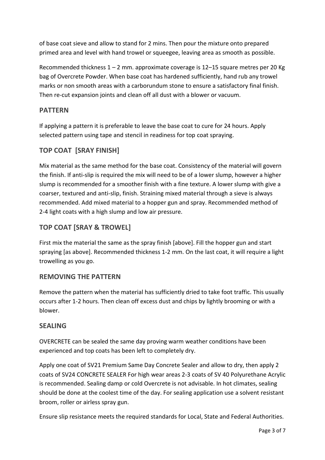of base coat sieve and allow to stand for 2 mins. Then pour the mixture onto prepared primed area and level with hand trowel or squeegee, leaving area as smooth as possible.

Recommended thickness 1 – 2 mm. approximate coverage is 12–15 square metres per 20 Kg bag of Overcrete Powder. When base coat has hardened sufficiently, hand rub any trowel marks or non smooth areas with a carborundum stone to ensure a satisfactory final finish. Then re-cut expansion joints and clean off all dust with a blower or vacuum.

#### **PATTERN**

If applying a pattern it is preferable to leave the base coat to cure for 24 hours. Apply selected pattern using tape and stencil in readiness for top coat spraying.

#### **TOP COAT [SRAY FINISH]**

Mix material as the same method for the base coat. Consistency of the material will govern the finish. If anti-slip is required the mix will need to be of a lower slump, however a higher slump is recommended for a smoother finish with a fine texture. A lower slump with give a coarser, textured and anti-slip, finish. Straining mixed material through a sieve is always recommended. Add mixed material to a hopper gun and spray. Recommended method of 2-4 light coats with a high slump and low air pressure.

#### **TOP COAT [SRAY & TROWEL]**

First mix the material the same as the spray finish [above]. Fill the hopper gun and start spraying [as above]. Recommended thickness 1-2 mm. On the last coat, it will require a light trowelling as you go.

#### **REMOVING THE PATTERN**

Remove the pattern when the material has sufficiently dried to take foot traffic. This usually occurs after 1-2 hours. Then clean off excess dust and chips by lightly brooming or with a blower.

#### **SEALING**

OVERCRETE can be sealed the same day proving warm weather conditions have been experienced and top coats has been left to completely dry.

Apply one coat of SV21 Premium Same Day Concrete Sealer and allow to dry, then apply 2 coats of SV24 CONCRETE SEALER For high wear areas 2-3 coats of SV 40 Polyurethane Acrylic is recommended. Sealing damp or cold Overcrete is not advisable. In hot climates, sealing should be done at the coolest time of the day. For sealing application use a solvent resistant broom, roller or airless spray gun.

Ensure slip resistance meets the required standards for Local, State and Federal Authorities.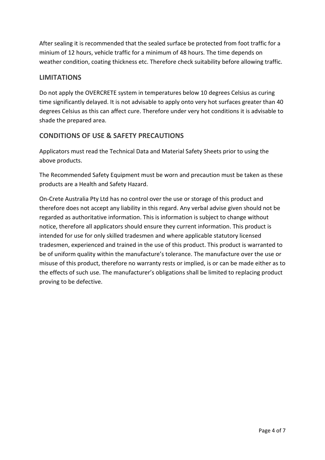After sealing it is recommended that the sealed surface be protected from foot traffic for a minium of 12 hours, vehicle traffic for a minimum of 48 hours. The time depends on weather condition, coating thickness etc. Therefore check suitability before allowing traffic.

#### **LIMITATIONS**

Do not apply the OVERCRETE system in temperatures below 10 degrees Celsius as curing time significantly delayed. It is not advisable to apply onto very hot surfaces greater than 40 degrees Celsius as this can affect cure. Therefore under very hot conditions it is advisable to shade the prepared area.

#### **CONDITIONS OF USE & SAFETY PRECAUTIONS**

Applicators must read the Technical Data and Material Safety Sheets prior to using the above products.

The Recommended Safety Equipment must be worn and precaution must be taken as these products are a Health and Safety Hazard.

On-Crete Australia Pty Ltd has no control over the use or storage of this product and therefore does not accept any liability in this regard. Any verbal advise given should not be regarded as authoritative information. This is information is subject to change without notice, therefore all applicators should ensure they current information. This product is intended for use for only skilled tradesmen and where applicable statutory licensed tradesmen, experienced and trained in the use of this product. This product is warranted to be of uniform quality within the manufacture's tolerance. The manufacture over the use or misuse of this product, therefore no warranty rests or implied, is or can be made either as to the effects of such use. The manufacturer's obligations shall be limited to replacing product proving to be defective.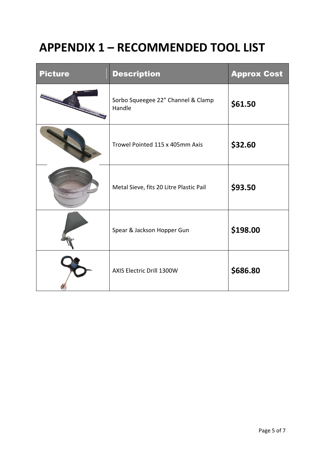### **APPENDIX 1 – RECOMMENDED TOOL LIST**

| <b>Picture</b> | <b>Description</b>                           | <b>Approx Cost</b> |
|----------------|----------------------------------------------|--------------------|
|                | Sorbo Squeegee 22" Channel & Clamp<br>Handle | \$61.50            |
|                | Trowel Pointed 115 x 405mm Axis              | \$32.60            |
|                | Metal Sieve, fits 20 Litre Plastic Pail      | \$93.50            |
|                | Spear & Jackson Hopper Gun                   | \$198.00           |
|                | AXIS Electric Drill 1300W                    | \$686.80           |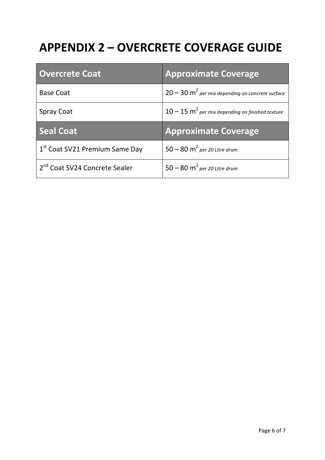# **APPENDIX 2 – OVERCRETE COVERAGE GUIDE**

| <b>Overcrete Coat</b>                      | <b>Approximate Coverage</b>                                    |
|--------------------------------------------|----------------------------------------------------------------|
| <b>Base Coat</b>                           | $20 - 30$ m <sup>2</sup> per mix depending on concrete surface |
| <b>Spray Coat</b>                          | $10-15$ m <sup>2</sup> per mix depending on finished texture   |
|                                            |                                                                |
| <b>Seal Coat</b>                           | <b>Approximate Coverage</b>                                    |
| 1 <sup>st</sup> Coat SV21 Premium Same Day | $50-80$ m <sup>2</sup> per 20 Litre drum                       |